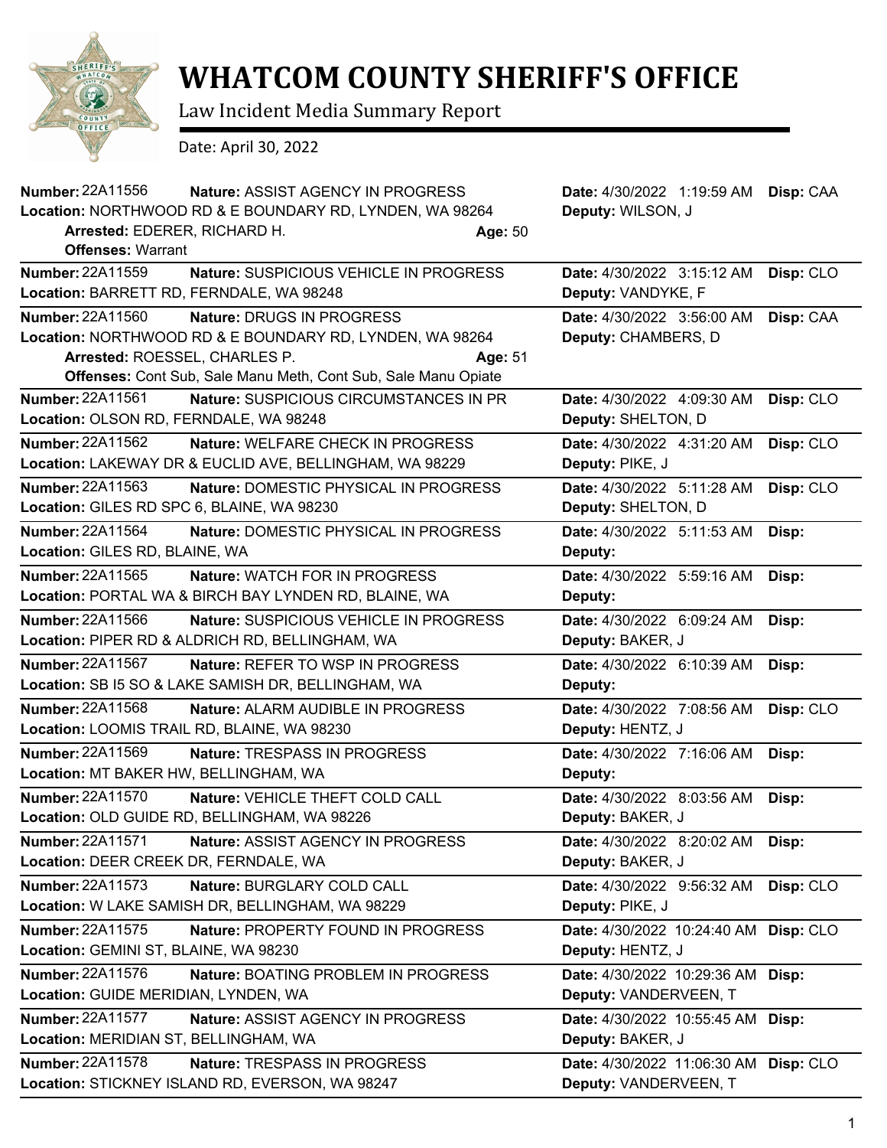

## **WHATCOM COUNTY SHERIFF'S OFFICE**

Law Incident Media Summary Report

Date: April 30, 2022

| Number: 22A11556<br>Nature: ASSIST AGENCY IN PROGRESS            | Date: 4/30/2022 1:19:59 AM<br>Disp: CAA  |
|------------------------------------------------------------------|------------------------------------------|
| Location: NORTHWOOD RD & E BOUNDARY RD, LYNDEN, WA 98264         | Deputy: WILSON, J                        |
| Arrested: EDERER, RICHARD H.<br>Age: 50                          |                                          |
| <b>Offenses: Warrant</b>                                         |                                          |
| Number: 22A11559<br>Nature: SUSPICIOUS VEHICLE IN PROGRESS       | Date: 4/30/2022 3:15:12 AM<br>Disp: CLO  |
| Location: BARRETT RD, FERNDALE, WA 98248                         | Deputy: VANDYKE, F                       |
| Number: 22A11560<br>Nature: DRUGS IN PROGRESS                    | Date: 4/30/2022 3:56:00 AM<br>Disp: CAA  |
| Location: NORTHWOOD RD & E BOUNDARY RD, LYNDEN, WA 98264         | Deputy: CHAMBERS, D                      |
| Arrested: ROESSEL, CHARLES P.<br>Age: 51                         |                                          |
| Offenses: Cont Sub, Sale Manu Meth, Cont Sub, Sale Manu Opiate   |                                          |
| Number: 22A11561<br>Nature: SUSPICIOUS CIRCUMSTANCES IN PR       | Date: 4/30/2022 4:09:30 AM<br>Disp: CLO  |
| Location: OLSON RD, FERNDALE, WA 98248                           | Deputy: SHELTON, D                       |
| Number: 22A11562<br><b>Nature: WELFARE CHECK IN PROGRESS</b>     | Date: 4/30/2022 4:31:20 AM<br>Disp: CLO  |
| Location: LAKEWAY DR & EUCLID AVE, BELLINGHAM, WA 98229          | Deputy: PIKE, J                          |
| <b>Number: 22A11563</b><br>Nature: DOMESTIC PHYSICAL IN PROGRESS | Disp: CLO<br>Date: 4/30/2022 5:11:28 AM  |
| Location: GILES RD SPC 6, BLAINE, WA 98230                       | Deputy: SHELTON, D                       |
| Number: 22A11564<br>Nature: DOMESTIC PHYSICAL IN PROGRESS        | Date: 4/30/2022 5:11:53 AM<br>Disp:      |
| Location: GILES RD, BLAINE, WA                                   | Deputy:                                  |
| Number: 22A11565<br><b>Nature: WATCH FOR IN PROGRESS</b>         | Date: 4/30/2022 5:59:16 AM<br>Disp:      |
| Location: PORTAL WA & BIRCH BAY LYNDEN RD, BLAINE, WA            | Deputy:                                  |
| Number: 22A11566<br>Nature: SUSPICIOUS VEHICLE IN PROGRESS       | Date: 4/30/2022 6:09:24 AM<br>Disp:      |
| Location: PIPER RD & ALDRICH RD, BELLINGHAM, WA                  | Deputy: BAKER, J                         |
| Number: 22A11567<br>Nature: REFER TO WSP IN PROGRESS             | Date: 4/30/2022 6:10:39 AM<br>Disp:      |
| Location: SB I5 SO & LAKE SAMISH DR, BELLINGHAM, WA              | Deputy:                                  |
| Number: 22A11568<br>Nature: ALARM AUDIBLE IN PROGRESS            | Date: 4/30/2022 7:08:56 AM<br>Disp: CLO  |
| Location: LOOMIS TRAIL RD, BLAINE, WA 98230                      | Deputy: HENTZ, J                         |
| <b>Number: 22A11569</b><br><b>Nature: TRESPASS IN PROGRESS</b>   | Date: 4/30/2022 7:16:06 AM<br>Disp:      |
| Location: MT BAKER HW, BELLINGHAM, WA                            | Deputy:                                  |
| Number: 22A11570<br>Nature: VEHICLE THEFT COLD CALL              | Date: 4/30/2022 8:03:56 AM<br>Disp:      |
| Location: OLD GUIDE RD, BELLINGHAM, WA 98226                     | Deputy: BAKER, J                         |
| <b>Number: 22A11571</b><br>Nature: ASSIST AGENCY IN PROGRESS     | Date: 4/30/2022 8:20:02 AM<br>Disp:      |
| Location: DEER CREEK DR, FERNDALE, WA                            | Deputy: BAKER, J                         |
| Number: 22A11573<br>Nature: BURGLARY COLD CALL                   | Disp: CLO<br>Date: 4/30/2022 9:56:32 AM  |
| Location: W LAKE SAMISH DR, BELLINGHAM, WA 98229                 | Deputy: PIKE, J                          |
| Number: 22A11575<br>Nature: PROPERTY FOUND IN PROGRESS           | Disp: CLO<br>Date: 4/30/2022 10:24:40 AM |
| Location: GEMINI ST, BLAINE, WA 98230                            | Deputy: HENTZ, J                         |
| Number: 22A11576<br>Nature: BOATING PROBLEM IN PROGRESS          | Date: 4/30/2022 10:29:36 AM<br>Disp:     |
| Location: GUIDE MERIDIAN, LYNDEN, WA                             | Deputy: VANDERVEEN, T                    |
| <b>Number: 22A11577</b><br>Nature: ASSIST AGENCY IN PROGRESS     | Date: 4/30/2022 10:55:45 AM<br>Disp:     |
| Location: MERIDIAN ST, BELLINGHAM, WA                            | Deputy: BAKER, J                         |
| <b>Number: 22A11578</b><br>Nature: TRESPASS IN PROGRESS          | Date: 4/30/2022 11:06:30 AM Disp: CLO    |
| Location: STICKNEY ISLAND RD, EVERSON, WA 98247                  | Deputy: VANDERVEEN, T                    |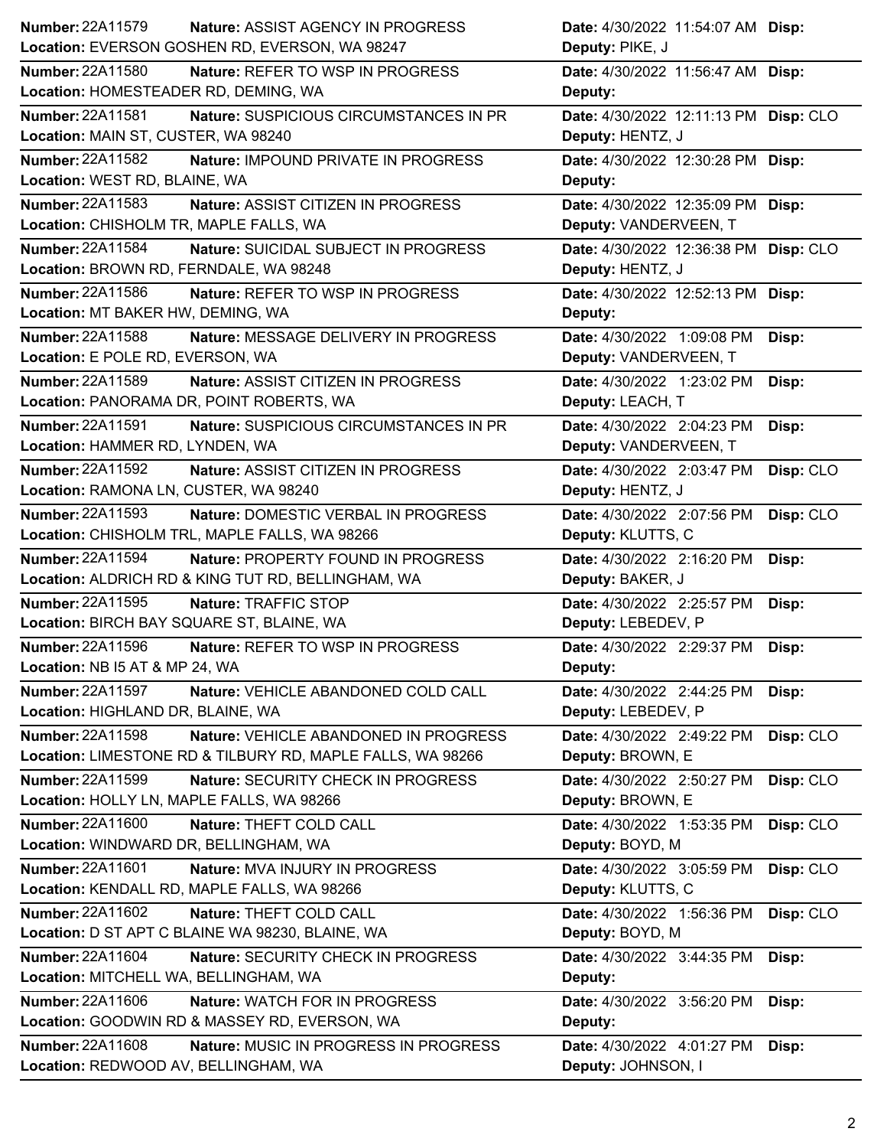| Number: 22A11579<br><b>Nature: ASSIST AGENCY IN PROGRESS</b>      | Date: 4/30/2022 11:54:07 AM Disp:       |
|-------------------------------------------------------------------|-----------------------------------------|
| Location: EVERSON GOSHEN RD, EVERSON, WA 98247                    | Deputy: PIKE, J                         |
| <b>Number: 22A11580</b><br>Nature: REFER TO WSP IN PROGRESS       | Date: 4/30/2022 11:56:47 AM Disp:       |
| Location: HOMESTEADER RD, DEMING, WA                              | Deputy:                                 |
| <b>Number: 22A11581</b><br>Nature: SUSPICIOUS CIRCUMSTANCES IN PR | Date: 4/30/2022 12:11:13 PM Disp: CLO   |
| Location: MAIN ST, CUSTER, WA 98240                               | Deputy: HENTZ, J                        |
| Number: 22A11582<br>Nature: IMPOUND PRIVATE IN PROGRESS           | Date: 4/30/2022 12:30:28 PM Disp:       |
| Location: WEST RD, BLAINE, WA                                     | Deputy:                                 |
| <b>Number: 22A11583</b><br>Nature: ASSIST CITIZEN IN PROGRESS     | Date: 4/30/2022 12:35:09 PM Disp:       |
| Location: CHISHOLM TR, MAPLE FALLS, WA                            | Deputy: VANDERVEEN, T                   |
| Number: 22A11584<br>Nature: SUICIDAL SUBJECT IN PROGRESS          | Date: 4/30/2022 12:36:38 PM Disp: CLO   |
| Location: BROWN RD, FERNDALE, WA 98248                            | Deputy: HENTZ, J                        |
| Number: 22A11586<br>Nature: REFER TO WSP IN PROGRESS              | Date: 4/30/2022 12:52:13 PM Disp:       |
| Location: MT BAKER HW, DEMING, WA                                 | Deputy:                                 |
| Number: 22A11588<br>Nature: MESSAGE DELIVERY IN PROGRESS          | Date: 4/30/2022 1:09:08 PM<br>Disp:     |
| Location: E POLE RD, EVERSON, WA                                  | Deputy: VANDERVEEN, T                   |
| Number: 22A11589<br>Nature: ASSIST CITIZEN IN PROGRESS            | Date: 4/30/2022 1:23:02 PM<br>Disp:     |
| Location: PANORAMA DR, POINT ROBERTS, WA                          | Deputy: LEACH, T                        |
| Number: 22A11591<br>Nature: SUSPICIOUS CIRCUMSTANCES IN PR        | Date: 4/30/2022 2:04:23 PM<br>Disp:     |
| Location: HAMMER RD, LYNDEN, WA                                   | Deputy: VANDERVEEN, T                   |
| <b>Number: 22A11592</b><br>Nature: ASSIST CITIZEN IN PROGRESS     | Date: 4/30/2022 2:03:47 PM<br>Disp: CLO |
| Location: RAMONA LN, CUSTER, WA 98240                             | Deputy: HENTZ, J                        |
| Number: 22A11593<br>Nature: DOMESTIC VERBAL IN PROGRESS           | Disp: CLO<br>Date: 4/30/2022 2:07:56 PM |
| Location: CHISHOLM TRL, MAPLE FALLS, WA 98266                     | Deputy: KLUTTS, C                       |
| <b>Number: 22A11594</b><br>Nature: PROPERTY FOUND IN PROGRESS     | Date: 4/30/2022 2:16:20 PM<br>Disp:     |
| Location: ALDRICH RD & KING TUT RD, BELLINGHAM, WA                | Deputy: BAKER, J                        |
| <b>Number: 22A11595</b><br>Nature: TRAFFIC STOP                   | Date: 4/30/2022 2:25:57 PM<br>Disp:     |
| Location: BIRCH BAY SQUARE ST, BLAINE, WA                         | Deputy: LEBEDEV, P                      |
| Number: 22A11596<br>Nature: REFER TO WSP IN PROGRESS              | Date: 4/30/2022 2:29:37 PM<br>Disp:     |
| Location: NB I5 AT & MP 24, WA                                    | <b>Deputy:</b>                          |
| Number: 22A11597<br>Nature: VEHICLE ABANDONED COLD CALL           | Date: 4/30/2022 2:44:25 PM<br>Disp:     |
| Location: HIGHLAND DR, BLAINE, WA                                 | Deputy: LEBEDEV, P                      |
| Number: 22A11598<br>Nature: VEHICLE ABANDONED IN PROGRESS         | Date: 4/30/2022 2:49:22 PM<br>Disp: CLO |
| Location: LIMESTONE RD & TILBURY RD, MAPLE FALLS, WA 98266        | Deputy: BROWN, E                        |
| Number: 22A11599<br>Nature: SECURITY CHECK IN PROGRESS            | Disp: CLO<br>Date: 4/30/2022 2:50:27 PM |
| Location: HOLLY LN, MAPLE FALLS, WA 98266                         | Deputy: BROWN, E                        |
| Number: 22A11600<br>Nature: THEFT COLD CALL                       | Date: 4/30/2022 1:53:35 PM<br>Disp: CLO |
| Location: WINDWARD DR, BELLINGHAM, WA                             | Deputy: BOYD, M                         |
| Number: 22A11601<br>Nature: MVA INJURY IN PROGRESS                | Date: 4/30/2022 3:05:59 PM<br>Disp: CLO |
| Location: KENDALL RD, MAPLE FALLS, WA 98266                       | Deputy: KLUTTS, C                       |
| Number: 22A11602<br>Nature: THEFT COLD CALL                       | Date: 4/30/2022 1:56:36 PM<br>Disp: CLO |
| Location: D ST APT C BLAINE WA 98230, BLAINE, WA                  | Deputy: BOYD, M                         |
| <b>Number: 22A11604</b><br>Nature: SECURITY CHECK IN PROGRESS     | Date: 4/30/2022 3:44:35 PM<br>Disp:     |
| Location: MITCHELL WA, BELLINGHAM, WA                             | Deputy:                                 |
| <b>Number: 22A11606</b><br>Nature: WATCH FOR IN PROGRESS          | Date: 4/30/2022 3:56:20 PM<br>Disp:     |
| Location: GOODWIN RD & MASSEY RD, EVERSON, WA                     | Deputy:                                 |
| <b>Number: 22A11608</b><br>Nature: MUSIC IN PROGRESS IN PROGRESS  | Date: 4/30/2022 4:01:27 PM<br>Disp:     |
|                                                                   |                                         |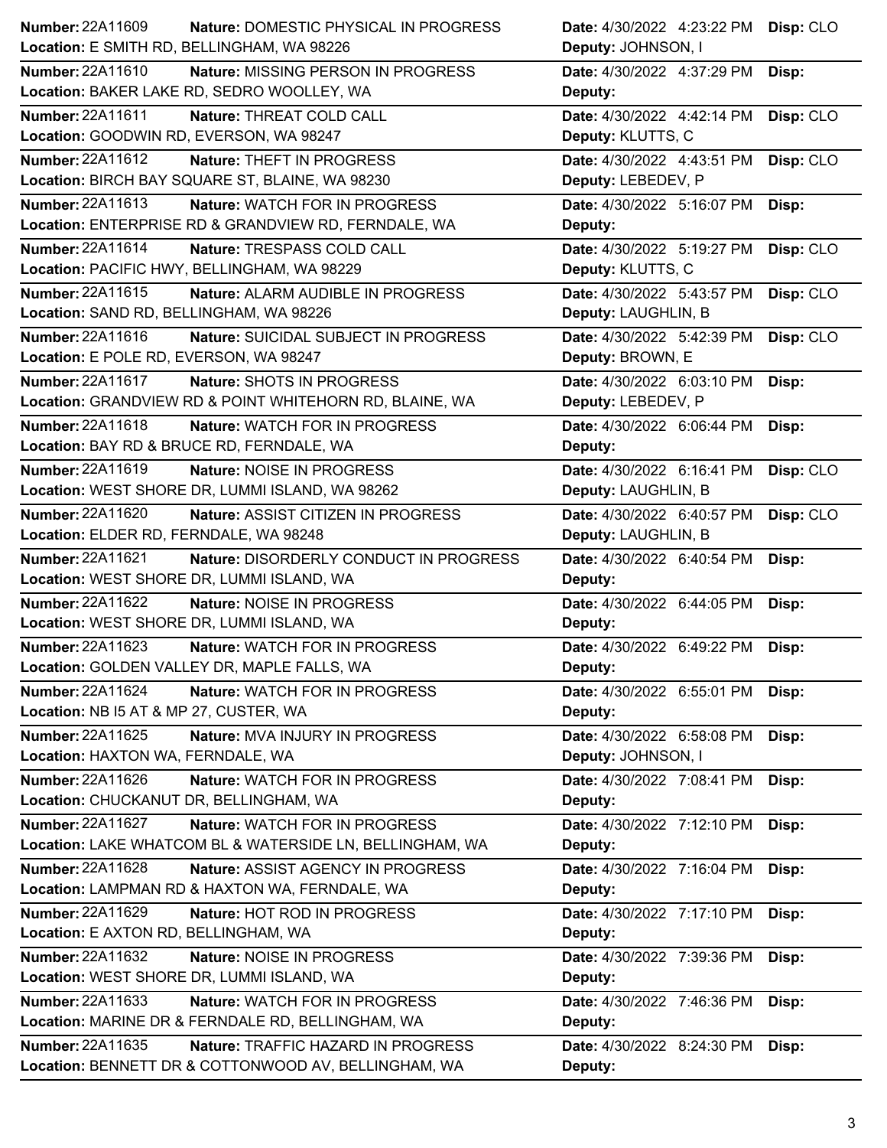| <b>Number: 22A11609</b>                    | Nature: DOMESTIC PHYSICAL IN PROGRESS                    | Date: 4/30/2022 4:23:22 PM Disp: CLO |           |
|--------------------------------------------|----------------------------------------------------------|--------------------------------------|-----------|
| Location: E SMITH RD, BELLINGHAM, WA 98226 |                                                          | Deputy: JOHNSON, I                   |           |
| Number: 22A11610                           | Nature: MISSING PERSON IN PROGRESS                       | Date: 4/30/2022 4:37:29 PM           | Disp:     |
|                                            | Location: BAKER LAKE RD, SEDRO WOOLLEY, WA               | Deputy:                              |           |
| Number: 22A11611                           | Nature: THREAT COLD CALL                                 | Date: 4/30/2022 4:42:14 PM           | Disp: CLO |
| Location: GOODWIN RD, EVERSON, WA 98247    |                                                          | Deputy: KLUTTS, C                    |           |
| Number: 22A11612                           | <b>Nature: THEFT IN PROGRESS</b>                         | Date: 4/30/2022 4:43:51 PM           | Disp: CLO |
|                                            | Location: BIRCH BAY SQUARE ST, BLAINE, WA 98230          | Deputy: LEBEDEV, P                   |           |
| Number: 22A11613                           | Nature: WATCH FOR IN PROGRESS                            | Date: 4/30/2022 5:16:07 PM           | Disp:     |
|                                            | Location: ENTERPRISE RD & GRANDVIEW RD, FERNDALE, WA     | Deputy:                              |           |
| <b>Number: 22A11614</b>                    | Nature: TRESPASS COLD CALL                               | Date: 4/30/2022 5:19:27 PM           | Disp: CLO |
|                                            | Location: PACIFIC HWY, BELLINGHAM, WA 98229              | Deputy: KLUTTS, C                    |           |
| Number: 22A11615                           | Nature: ALARM AUDIBLE IN PROGRESS                        | Date: 4/30/2022 5:43:57 PM           | Disp: CLO |
| Location: SAND RD, BELLINGHAM, WA 98226    |                                                          | Deputy: LAUGHLIN, B                  |           |
| Number: 22A11616                           | Nature: SUICIDAL SUBJECT IN PROGRESS                     | Date: 4/30/2022 5:42:39 PM           | Disp: CLO |
| Location: E POLE RD, EVERSON, WA 98247     |                                                          | Deputy: BROWN, E                     |           |
| Number: 22A11617                           | Nature: SHOTS IN PROGRESS                                | Date: 4/30/2022 6:03:10 PM           | Disp:     |
|                                            | Location: GRANDVIEW RD & POINT WHITEHORN RD, BLAINE, WA  | Deputy: LEBEDEV, P                   |           |
| Number: 22A11618                           | Nature: WATCH FOR IN PROGRESS                            | Date: 4/30/2022 6:06:44 PM           | Disp:     |
|                                            | Location: BAY RD & BRUCE RD, FERNDALE, WA                | Deputy:                              |           |
| Number: 22A11619                           | Nature: NOISE IN PROGRESS                                | Date: 4/30/2022 6:16:41 PM           | Disp: CLO |
|                                            | Location: WEST SHORE DR, LUMMI ISLAND, WA 98262          | Deputy: LAUGHLIN, B                  |           |
| Number: 22A11620                           | Nature: ASSIST CITIZEN IN PROGRESS                       | Date: 4/30/2022 6:40:57 PM           | Disp: CLO |
| Location: ELDER RD, FERNDALE, WA 98248     |                                                          | Deputy: LAUGHLIN, B                  |           |
|                                            |                                                          |                                      |           |
| Number: 22A11621                           | Nature: DISORDERLY CONDUCT IN PROGRESS                   | Date: 4/30/2022 6:40:54 PM           | Disp:     |
|                                            | Location: WEST SHORE DR, LUMMI ISLAND, WA                | Deputy:                              |           |
| Number: 22A11622                           | Nature: NOISE IN PROGRESS                                | Date: 4/30/2022 6:44:05 PM           | Disp:     |
|                                            | Location: WEST SHORE DR, LUMMI ISLAND, WA                | Deputy:                              |           |
| <b>Number: 22A11623</b>                    | Nature: WATCH FOR IN PROGRESS                            | Date: 4/30/2022 6:49:22 PM           | Disp:     |
|                                            | Location: GOLDEN VALLEY DR, MAPLE FALLS, WA              | Deputy:                              |           |
| Number: 22A11624                           | <b>Nature: WATCH FOR IN PROGRESS</b>                     | Date: 4/30/2022 6:55:01 PM Disp:     |           |
| Location: NB I5 AT & MP 27, CUSTER, WA     |                                                          | Deputy:                              |           |
| Number: 22A11625                           | Nature: MVA INJURY IN PROGRESS                           | Date: 4/30/2022 6:58:08 PM           | Disp:     |
| Location: HAXTON WA, FERNDALE, WA          |                                                          | Deputy: JOHNSON, I                   |           |
| Number: 22A11626                           | Nature: WATCH FOR IN PROGRESS                            | Date: 4/30/2022 7:08:41 PM           | Disp:     |
| Location: CHUCKANUT DR, BELLINGHAM, WA     |                                                          | Deputy:                              |           |
| <b>Number: 22A11627</b>                    | Nature: WATCH FOR IN PROGRESS                            | Date: 4/30/2022 7:12:10 PM Disp:     |           |
|                                            | Location: LAKE WHATCOM BL & WATERSIDE LN, BELLINGHAM, WA | Deputy:                              |           |
| Number: 22A11628                           | Nature: ASSIST AGENCY IN PROGRESS                        | Date: 4/30/2022 7:16:04 PM           | Disp:     |
|                                            | Location: LAMPMAN RD & HAXTON WA, FERNDALE, WA           | Deputy:                              |           |
| <b>Number: 22A11629</b>                    | Nature: HOT ROD IN PROGRESS                              | Date: 4/30/2022 7:17:10 PM           | Disp:     |
| Location: E AXTON RD, BELLINGHAM, WA       |                                                          | Deputy:                              |           |
| Number: 22A11632                           | Nature: NOISE IN PROGRESS                                | Date: 4/30/2022 7:39:36 PM           | Disp:     |
|                                            | Location: WEST SHORE DR, LUMMI ISLAND, WA                | Deputy:                              |           |
| <b>Number: 22A11633</b>                    | Nature: WATCH FOR IN PROGRESS                            | Date: 4/30/2022 7:46:36 PM           | Disp:     |
|                                            | Location: MARINE DR & FERNDALE RD, BELLINGHAM, WA        | Deputy:                              |           |
| Number: 22A11635                           | Nature: TRAFFIC HAZARD IN PROGRESS                       | Date: 4/30/2022 8:24:30 PM Disp:     |           |